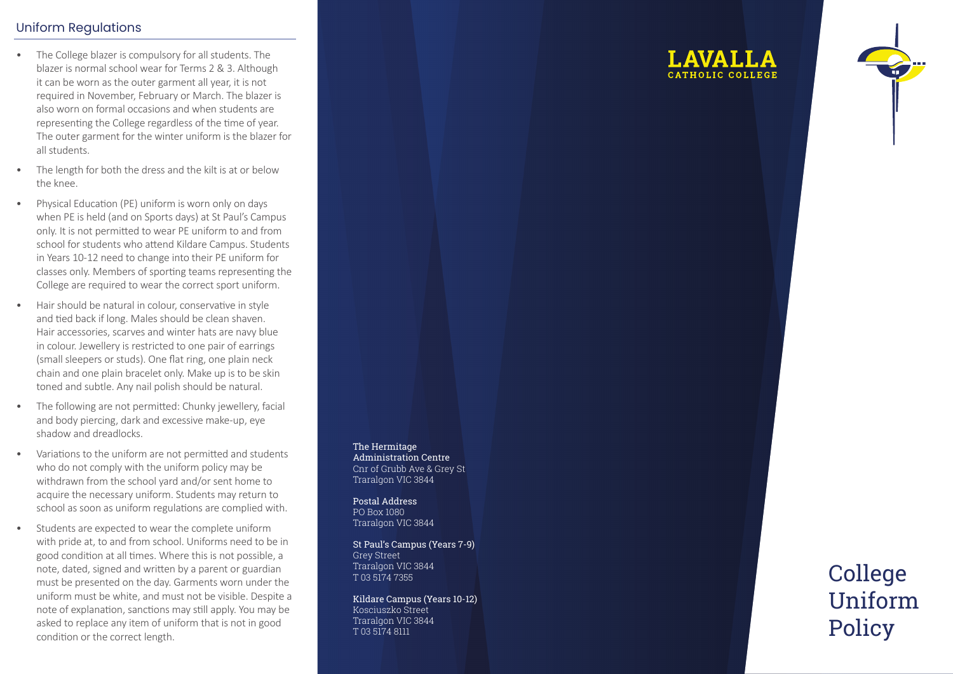# Uniform Regulations

- The College blazer is compulsory for all students. The blazer is normal school wear for Terms 2 & 3. Although it can be worn as the outer garment all year, it is not required in November, February or March. The blazer is also worn on formal occasions and when students are representing the College regardless of the time of year. The outer garment for the winter uniform is the blazer for all students.
- The length for both the dress and the kilt is at or below the knee.
- Physical Education (PE) uniform is worn only on days when PE is held (and on Sports days) at St Paul's Campus only. It is not permitted to wear PE uniform to and from school for students who attend Kildare Campus. Students in Years 10-12 need to change into their PE uniform for classes only. Members of sporting teams representing the College are required to wear the correct sport uniform.
- Hair should be natural in colour, conservative in style and tied back if long. Males should be clean shaven. Hair accessories, scarves and winter hats are navy blue in colour. Jewellery is restricted to one pair of earrings (small sleepers or studs). One flat ring, one plain neck chain and one plain bracelet only. Make up is to be skin toned and subtle. Any nail polish should be natural.
- The following are not permitted: Chunky jewellery, facial and body piercing, dark and excessive make-up, eye shadow and dreadlocks.
- Variations to the uniform are not permitted and students who do not comply with the uniform policy may be withdrawn from the school yard and/or sent home to acquire the necessary uniform. Students may return to school as soon as uniform regulations are complied with.
- Students are expected to wear the complete uniform with pride at, to and from school. Uniforms need to be in good condition at all times. Where this is not possible, a note, dated, signed and written by a parent or guardian must be presented on the day. Garments worn under the uniform must be white, and must not be visible. Despite a note of explanation, sanctions may still apply. You may be asked to replace any item of uniform that is not in good condition or the correct length.

The Hermitage Administration Centre Cnr of Grubb Ave & Grey St Traralgon VIC 3844

Postal Address PO Box 1080 Traralgon VIC 3844

St Paul's Campus (Years 7-9) Grey Street Traralgon VIC 3844 T 03 5174 7355

Kildare Campus (Years 10-12) Kosciuszko Street Traralgon VIC 3844 T 03 5174 8111



# College Uniform Policy